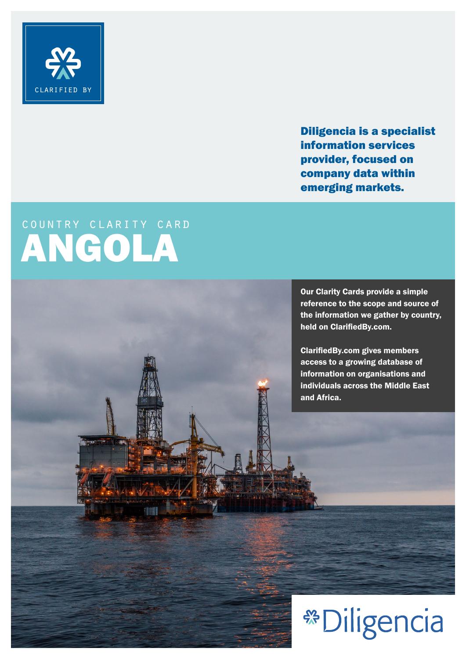

Diligencia is a specialist information services provider, focused on company data within emerging markets.

## country clarity card ANGOLA

Our Clarity Cards provide a simple reference to the scope and source of the information we gather by country, held on ClarifiedBy.com.

ClarifiedBy.com gives members access to a growing database of information on organisations and individuals across the Middle East and Africa.

## **\*\* Diligencia**